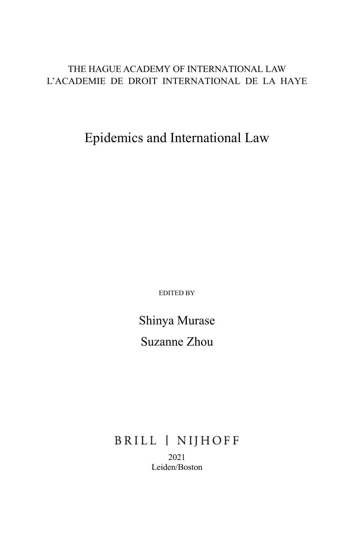# THE HAGUE ACADEMY OF INTERNATIONAL LAW L'ACADEMIE DE DROIT INTERNATIONAL DE LA HAYE

Epidemics and International Law

EDITED BY

Shinya Murase Suzanne Zhou

BRILL | NIJHOFF 2021 Leiden/Boston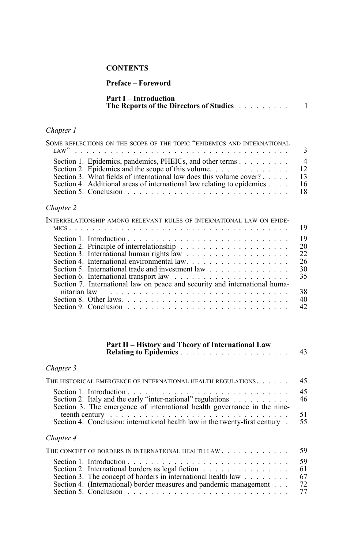### **CONTENTS**

#### **Preface – Foreword**

| <b>Part I – Introduction</b>                   |  |  |  |  |  |  |
|------------------------------------------------|--|--|--|--|--|--|
| <b>The Reports of the Directors of Studies</b> |  |  |  |  |  |  |

### *Chapter 1*

| SOME REFLECTIONS ON THE SCOPE OF THE TOPIC "EPIDEMICS AND INTERNATIONAL                                   |    |
|-----------------------------------------------------------------------------------------------------------|----|
|                                                                                                           |    |
| Section 1. Epidemics, pandemics, PHEICs, and other terms 4                                                |    |
| Section 2. Epidemics and the scope of this volume. $\dots \dots \dots \dots \dots \dots$ 12               |    |
| Section 3. What fields of international law does this volume cover?                                       | 13 |
| Section 4. Additional areas of international law relating to epidemics                                    | 16 |
| Section 5. Conclusion $\ldots$ $\ldots$ $\ldots$ $\ldots$ $\ldots$ $\ldots$ $\ldots$ $\ldots$ $\ldots$ 18 |    |
|                                                                                                           |    |

# *Chapter 2*

| INTERRELATIONSHIP AMONG RELEVANT RULES OF INTERNATIONAL LAW ON EPIDE-                                                                                                                                                          |
|--------------------------------------------------------------------------------------------------------------------------------------------------------------------------------------------------------------------------------|
|                                                                                                                                                                                                                                |
|                                                                                                                                                                                                                                |
|                                                                                                                                                                                                                                |
|                                                                                                                                                                                                                                |
|                                                                                                                                                                                                                                |
| Section 5. International trade and investment law $\ldots$ , $\ldots$ , $\ldots$ , $\ldots$                                                                                                                                    |
|                                                                                                                                                                                                                                |
| Section 7. International law on peace and security and international huma-                                                                                                                                                     |
| nitarian law response to the contract of the contract of the contract of the contract of the contract of the contract of the contract of the contract of the contract of the contract of the contract of the contract of the c |
|                                                                                                                                                                                                                                |
| Section 9. Conclusion $\ldots \ldots \ldots \ldots \ldots \ldots \ldots \ldots \ldots \ldots$                                                                                                                                  |

#### **Part II – History and Theory of International Law Relating to Epidemics** ................... 43

# *Chapter 3*

| THE HISTORICAL EMERGENCE OF INTERNATIONAL HEALTH REGULATIONS.                                                                                                                                       | 45                    |
|-----------------------------------------------------------------------------------------------------------------------------------------------------------------------------------------------------|-----------------------|
| Section 2. It aly and the early "inter-national" regulations $\dots \dots \dots$<br>Section 3. The emergence of international health governance in the nine-                                        | 45<br>46<br>51        |
| Section 4. Conclusion: international health law in the twenty-first century.                                                                                                                        | 55                    |
| Chapter 4                                                                                                                                                                                           |                       |
| THE CONCEPT OF BORDERS IN INTERNATIONAL HEALTH LAW                                                                                                                                                  | 59                    |
| Section 2. International borders as legal fiction<br>Section 3. The concept of borders in international health law $\ldots$ ,<br>Section 4. (International) border measures and pandemic management | 59<br>61<br>67<br>-72 |

Section 5. Conclusion ............................ 77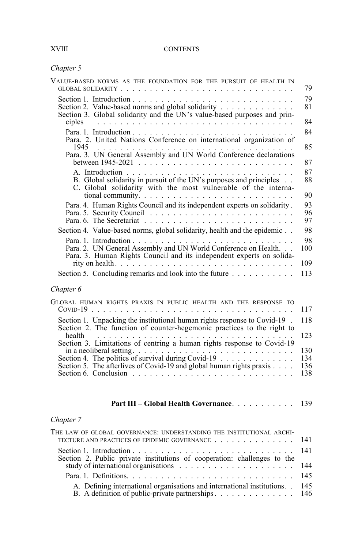#### **CONTENTS**

| Chapter |  |
|---------|--|
|---------|--|

| VALUE-BASED NORMS AS THE FOUNDATION FOR THE PURSUIT OF HEALTH IN                                                                                         | 79             |
|----------------------------------------------------------------------------------------------------------------------------------------------------------|----------------|
| Section 2. Value-based norms and global solidarity<br>Section 3. Global solidarity and the UN's value-based purposes and prin-                           | 79<br>81<br>84 |
| Para. 2. United Nations Conference on international organization of<br>1945                                                                              | 84<br>85       |
| Para. 3. UN General Assembly and UN World Conference declarations                                                                                        | 87             |
| B. Global solidarity in pursuit of the UN's purposes and principles<br>C. Global solidarity with the most vulnerable of the interna-                     | 87<br>88<br>90 |
| Para. 4. Human Rights Council and its independent experts on solidarity.<br>Para. 5. Security Council $\ldots \ldots \ldots \ldots \ldots \ldots \ldots$ | 93<br>96<br>97 |
| Section 4. Value-based norms, global solidarity, health and the epidemic                                                                                 | 98             |
| Para. 2. UN General Assembly and UN World Conference on Health.<br>Para. 3. Human Rights Council and its independent experts on solida-                  | 98<br>100      |
|                                                                                                                                                          | 109            |
| Section 5. Concluding remarks and look into the future                                                                                                   | 113            |
| Chapter 6                                                                                                                                                |                |
| GLOBAL HUMAN RIGHTS PRAXIS IN PUBLIC HEALTH AND THE RESPONSE TO                                                                                          | 117            |
| Section 1. Unpacking the institutional human rights response to Covid-19.<br>Section 2. The function of counter-hegemonic practices to the right to      | 118            |

| Section 2. The function of counter-negemonic practices to the right to                                                          |  |
|---------------------------------------------------------------------------------------------------------------------------------|--|
| health                                                                                                                          |  |
| Section 3. Limitations of centring a human rights response to Covid-19                                                          |  |
| in a neoliberal setting. $\ldots$ , $\ldots$ , $\ldots$ , $\ldots$ , $\ldots$ , $\ldots$ , $\ldots$ , $\ldots$ , $\ldots$ , 130 |  |
| Section 4. The politics of survival during Covid-19 $\dots \dots \dots \dots \dots \dots \dots \dots$ 134                       |  |
| Section 5. The afterlives of Covid-19 and global human rights praxis 136                                                        |  |
| Section 6. Conclusion $\ldots$ $\ldots$ $\ldots$ $\ldots$ $\ldots$ $\ldots$ $\ldots$ $\ldots$ $\ldots$ $\ldots$ 138             |  |
|                                                                                                                                 |  |

| <b>Part III – Global Health Governance.</b> | 139 |  |  |
|---------------------------------------------|-----|--|--|
|---------------------------------------------|-----|--|--|

# *Chapter 7*

| THE LAW OF GLOBAL GOVERNANCE: UNDERSTANDING THE INSTITUTIONAL ARCHI-          |  |
|-------------------------------------------------------------------------------|--|
| TECTURE AND PRACTICES OF EPIDEMIC GOVERNANCE 141                              |  |
| Section 2. Public private institutions of cooperation: challenges to the      |  |
|                                                                               |  |
|                                                                               |  |
| A. Defining international organisations and international institutions. . 145 |  |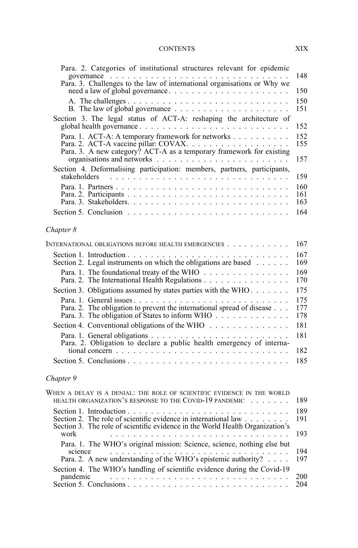#### CONTENTS XIX

| Para. 2. Categories of institutional structures relevant for epidemic                                                                                    |                   |
|----------------------------------------------------------------------------------------------------------------------------------------------------------|-------------------|
| governance<br>Para. 3. Challenges to the law of international organisations or Why we                                                                    | 148<br>150        |
|                                                                                                                                                          | 150<br>151        |
| Section 3. The legal status of ACT-A: reshaping the architecture of                                                                                      | 152               |
| Para. 1. ACT-A: A temporary framework for networks                                                                                                       | 152<br>155<br>157 |
| Section 4. Deformalising participation: members, partners, participants,<br>stakeholders                                                                 | 159               |
|                                                                                                                                                          | 160<br>161<br>163 |
|                                                                                                                                                          | 164               |
| Chapter 8                                                                                                                                                |                   |
| INTERNATIONAL OBLIGATIONS BEFORE HEALTH EMERGENCIES                                                                                                      | 167               |
| Section 2. Legal instruments on which the obligations are based                                                                                          | 167<br>169        |
| Para. 1. The foundational treaty of the WHO<br>Para. 2. The International Health Regulations                                                             | 169<br>170        |
| Section 3. Obligations assumed by states parties with the WHO                                                                                            | 175               |
| Para. 2. The obligation to prevent the international spread of disease<br>Para. 3. The obligation of States to inform WHO                                | 175<br>177<br>178 |
| Section 4. Conventional obligations of the WHO                                                                                                           | 181               |
| Para. 2. Obligation to declare a public health emergency of interna-                                                                                     | 181               |
| tional concern $\ldots \ldots \ldots \ldots \ldots \ldots \ldots \ldots \ldots \ldots$                                                                   | 182<br>185        |
| Chapter 9                                                                                                                                                |                   |
| WHEN A DELAY IS A DENIAL: THE ROLE OF SCIENTIFIC EVIDENCE IN THE WORLD<br>HEALTH ORGANIZATION'S RESPONSE TO THE COVID-19 PANDEMIC                        | 189               |
| Section 2. The role of scientific evidence in international law<br>Section 3. The role of scientific evidence in the World Health Organization's<br>work | 189<br>191<br>193 |
| Para. 1. The WHO's original mission: Science, science, nothing else but<br>science                                                                       | 194               |

Para. 2. A new understanding of the WHO's epistemic authority? . . . . 197 Section 4. The WHO's handling of scientific evidence during the Covid-19 pandemic ............................... 200 Section 5. Conclusions ............................ 204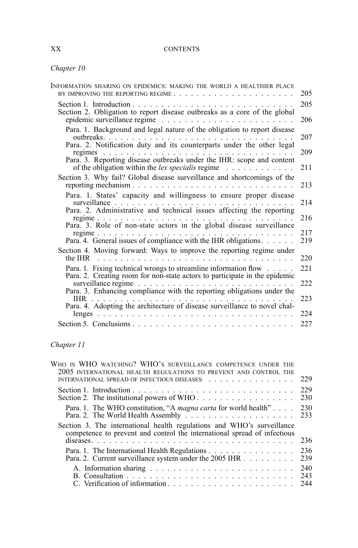# XX CONTENTS

# *Chapter 10*

| INFORMATION SHARING ON EPIDEMICS: MAKING THE WORLD A HEALTHIER PLACE                                                                                                               | 205 |
|------------------------------------------------------------------------------------------------------------------------------------------------------------------------------------|-----|
| Section 2. Obligation to report disease outbreaks as a core of the global                                                                                                          | 205 |
|                                                                                                                                                                                    | 206 |
| Para. 1. Background and legal nature of the obligation to report disease                                                                                                           | 207 |
| Para. 2. Notification duty and its counterparts under the other legal<br>regimes.<br>$\mathcal{L}$ , and $\mathcal{L}$ , and $\mathcal{L}$ , and $\mathcal{L}$ , and $\mathcal{L}$ | 209 |
| Para. 3. Reporting disease outbreaks under the IHR: scope and content<br>of the obligation within the <i>lex specialis</i> regime $\ldots \ldots \ldots \ldots$                    | 211 |
| Section 3. Why fail? Global disease surveillance and shortcomings of the                                                                                                           | 213 |
| Para. 1. States' capacity and willingness to ensure proper disease<br>surveillance                                                                                                 | 214 |
| Para. 2. Administrative and technical issues affecting the reporting                                                                                                               | 216 |
| Para. 3. Role of non-state actors in the global disease surveillance                                                                                                               | 217 |
|                                                                                                                                                                                    | 219 |
| Section 4. Moving forward: Ways to improve the reporting regime under                                                                                                              | 220 |
| Para. 1. Fixing technical wrongs to streamline information flow<br>Para. 2. Creating room for non-state actors to participate in the epidemic                                      | 221 |
|                                                                                                                                                                                    | 222 |
| Para. 3. Enhancing compliance with the reporting obligations under the<br>.                                                                                                        | 223 |
| Para. 4. Adopting the architecture of disease surveillance to novel chal-                                                                                                          | 224 |
|                                                                                                                                                                                    | 227 |

# *Chapter 11*

| WHO IS WHO WATCHING? WHO's SURVEILLANCE COMPETENCE UNDER THE                                                                                       |            |
|----------------------------------------------------------------------------------------------------------------------------------------------------|------------|
| 2005 INTERNATIONAL HEALTH REGULATIONS TO PREVENT AND CONTROL THE                                                                                   |            |
| INTERNATIONAL SPREAD OF INFECTIOUS DISEASES                                                                                                        | 229        |
|                                                                                                                                                    | 229        |
| Section 2. The institutional powers of WHO                                                                                                         | 230        |
| Para. 1. The WHO constitution, "A <i>magna carta</i> for world health"                                                                             | 230        |
|                                                                                                                                                    | 233        |
| Section 3. The international health regulations and WHO's surveillance<br>competence to prevent and control the international spread of infectious |            |
|                                                                                                                                                    | 236        |
| Para. 1. The International Health Regulations<br>Para. 2. Current surveillance system under the 2005 IHR                                           | 236<br>239 |
|                                                                                                                                                    | 240<br>243 |
|                                                                                                                                                    | 244        |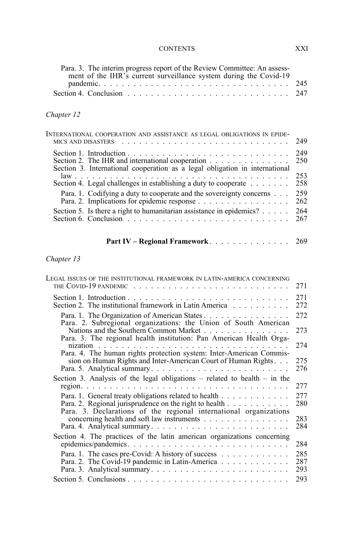# CONTENTS XXI

| Para. 3. The interim progress report of the Review Committee: An assess- |  |
|--------------------------------------------------------------------------|--|
| ment of the IHR's current surveillance system during the Covid-19        |  |
|                                                                          |  |
|                                                                          |  |

# *Chapter 12*

| INTERNATIONAL COOPERATION AND ASSISTANCE AS LEGAL OBLIGATIONS IN EPIDE-                                                         | 249        |
|---------------------------------------------------------------------------------------------------------------------------------|------------|
| Section 2. The IHR and international cooperation<br>Section 3. International cooperation as a legal obligation in international | 249<br>250 |
|                                                                                                                                 | 253        |
| Section 4. Legal challenges in establishing a duty to cooperate $\dots \dots$                                                   | 258        |
| Para. 1. Codifying a duty to cooperate and the sovereignty concerns                                                             | 259        |
|                                                                                                                                 | 262        |
| Section 5. Is there a right to humanitarian assistance in epidemics? $\ldots$ .                                                 | 264        |
| Section 6. Conclusion $\ldots \ldots \ldots \ldots \ldots \ldots \ldots \ldots \ldots$                                          | 267        |

| <b>Part IV – Regional Framework</b> . |  |  |  |  |  |  |  |  |  |  |  |  |  | 269 |
|---------------------------------------|--|--|--|--|--|--|--|--|--|--|--|--|--|-----|
|---------------------------------------|--|--|--|--|--|--|--|--|--|--|--|--|--|-----|

# *Chapter 13*

| Legal issues of the institutional framework in latin-america concerning                                                                                   | 271               |
|-----------------------------------------------------------------------------------------------------------------------------------------------------------|-------------------|
| Section 2. The institutional framework in Latin America                                                                                                   | 271<br>272        |
| Para. 1. The Organization of American States<br>Para. 2. Subregional organizations: the Union of South American<br>Nations and the Southern Common Market | 272<br>273        |
| Para. 3. The regional health institution: Pan American Health Orga-                                                                                       | 274               |
| Para. 4. The human rights protection system: Inter-American Commis-<br>sion on Human Rights and Inter-American Court of Human Rights                      | 275<br>276        |
| Section 3. Analysis of the legal obligations – related to health – in the                                                                                 | 277               |
| Para. 1. General treaty obligations related to health<br>Para. 2. Regional jurisprudence on the right to health                                           | 277<br>280        |
| Para. 3. Declarations of the regional international organizations                                                                                         | 283<br>284        |
| Section 4. The practices of the latin american organizations concerning                                                                                   | 284               |
| Para. 1. The cases pre-Covid: A history of success<br>Para. 2. The Covid-19 pandemic in Latin-America                                                     | 285<br>287<br>293 |
|                                                                                                                                                           | 293               |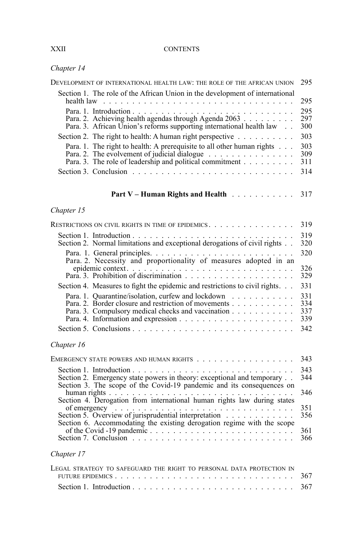#### **CONTENTS**

| Chapter 14 |  |  |
|------------|--|--|
|------------|--|--|

| DEVELOPMENT OF INTERNATIONAL HEALTH LAW: THE ROLE OF THE AFRICAN UNION                                                                                                             | 295                      |
|------------------------------------------------------------------------------------------------------------------------------------------------------------------------------------|--------------------------|
| Section 1. The role of the African Union in the development of international                                                                                                       | 295                      |
| Para. 2. Achieving health agendas through Agenda 2063<br>Para. 3. African Union's reforms supporting international health law                                                      | 295<br>297<br>300        |
| Section 2. The right to health: A human right perspective                                                                                                                          | 303                      |
| Para. 1. The right to health: A prerequisite to all other human rights<br>Para. 2. The evolvement of judicial dialogue<br>Para. 3. The role of leadership and political commitment | 303<br>309<br>311<br>314 |
| <b>Part V – Human Rights and Health Fig. 1. All Accords</b>                                                                                                                        | 317                      |
| Chapter 15                                                                                                                                                                         |                          |
| RESTRICTIONS ON CIVIL RIGHTS IN TIME OF EPIDEMICS. $\ldots$                                                                                                                        | 319                      |
| Section 2. Normal limitations and exceptional derogations of civil rights                                                                                                          | 319<br>320               |
|                                                                                                                                                                                    | 320                      |
|                                                                                                                                                                                    | 326<br>329               |
| Section 4. Measures to fight the epidemic and restrictions to civil rights.                                                                                                        | 331                      |
| Para. 1. Quarantine/isolation, curfew and lockdown<br>Para. 2. Border closure and restriction of movements<br>Para. 3. Compulsory medical checks and vaccination                   | 331<br>334<br>337<br>339 |
|                                                                                                                                                                                    | 342                      |
| Chapter 16                                                                                                                                                                         |                          |
|                                                                                                                                                                                    | 343                      |
| Section 2. Emergency state powers in theory: exceptional and temporary<br>Section 3. The scope of the Covid-19 pandemic and its consequences on                                    | 343<br>344               |
|                                                                                                                                                                                    | 346                      |
| of emergency<br>Section 5. Overview of jurisprudential interpretation<br>$\ldots$                                                                                                  | 351<br>356               |
| Section 6. Accommodating the existing derogation regime with the scope<br>Section 7. Conclusion $\ldots \ldots \ldots \ldots \ldots \ldots \ldots \ldots \ldots \ldots$            | 361<br>366               |
| Chapter 17                                                                                                                                                                         |                          |
| LEGAL STRATEGY TO SAFEGUARD THE RIGHT TO PERSONAL DATA PROTECTION IN                                                                                                               | 367                      |

Section 1. Introduction ............................ 367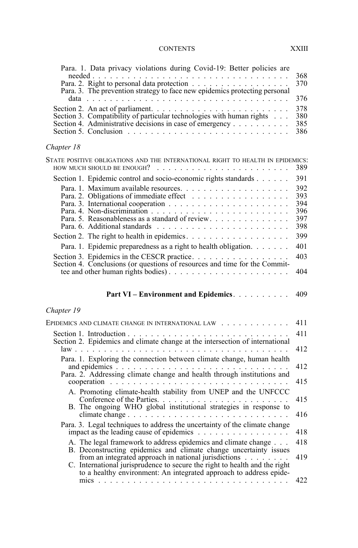# CONTENTS XXIII

| Para. 1. Data privacy violations during Covid-19: Better policies are<br>Para. 3. The prevention strategy to face new epidemics protecting personal<br>Section 3. Compatibility of particular technologies with human rights<br>Section 4. Administrative decisions in case of emergency | 368<br>370<br>376<br>378<br>380<br>385<br>386 |
|------------------------------------------------------------------------------------------------------------------------------------------------------------------------------------------------------------------------------------------------------------------------------------------|-----------------------------------------------|
| Chapter 18                                                                                                                                                                                                                                                                               |                                               |
| STATE POSITIVE OBLIGATIONS AND THE INTERNATIONAL RIGHT TO HEALTH IN EPIDEMICS:<br>how much should be enough?                                                                                                                                                                             | 389                                           |
| Section 1. Epidemic control and socio-economic rights standards                                                                                                                                                                                                                          | 391                                           |
|                                                                                                                                                                                                                                                                                          | 392<br>393<br>394<br>396<br>397<br>398        |
|                                                                                                                                                                                                                                                                                          | 399                                           |
| Para. 1. Epidemic preparedness as a right to health obligation.                                                                                                                                                                                                                          | 401                                           |
| Section 4. Conclusions (or questions of resources and time for the Commit-<br>tee and other human rights bodies)                                                                                                                                                                         | 403<br>404                                    |
| Part VI - Environment and Epidemics.                                                                                                                                                                                                                                                     | 409                                           |
| Chapter 19                                                                                                                                                                                                                                                                               |                                               |
| EPIDEMICS AND CLIMATE CHANGE IN INTERNATIONAL LAW                                                                                                                                                                                                                                        | 411                                           |
|                                                                                                                                                                                                                                                                                          | 411                                           |
|                                                                                                                                                                                                                                                                                          | 412                                           |
| Para. 1. Exploring the connection between climate change, human health                                                                                                                                                                                                                   | 412                                           |
| Para. 2. Addressing climate change and health through institutions and                                                                                                                                                                                                                   | 415                                           |
| A. Promoting climate-health stability from UNEP and the UNFCCC                                                                                                                                                                                                                           |                                               |
| Conference of the Parties.<br>B. The ongoing WHO global institutional strategies in response to                                                                                                                                                                                          | 415                                           |
|                                                                                                                                                                                                                                                                                          | 416                                           |
|                                                                                                                                                                                                                                                                                          |                                               |
| Para. 3. Legal techniques to address the uncertainty of the climate change                                                                                                                                                                                                               | 418                                           |
| A. The legal framework to address epidemics and climate change                                                                                                                                                                                                                           | 418                                           |
| B. Deconstructing epidemics and climate change uncertainty issues<br>from an integrated approach in national jurisdictions<br>C. International jurisprudence to secure the right to health and the right                                                                                 | 419                                           |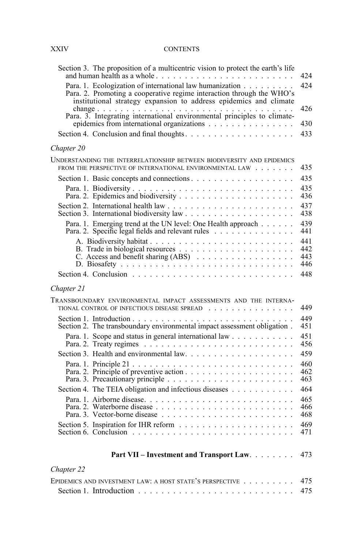# XXIV CONTENTS

|            | Section 3. The proposition of a multicentric vision to protect the earth's life                                                                                                                        | 424                      |
|------------|--------------------------------------------------------------------------------------------------------------------------------------------------------------------------------------------------------|--------------------------|
|            | Para. 1. Ecologization of international law humanization<br>Para. 2. Promoting a cooperative regime interaction through the WHO's<br>institutional strategy expansion to address epidemics and climate | 42.4                     |
|            |                                                                                                                                                                                                        | 426                      |
|            | epidemics from international organizations                                                                                                                                                             | 430<br>433               |
|            |                                                                                                                                                                                                        |                          |
| Chapter 20 |                                                                                                                                                                                                        |                          |
|            | UNDERSTANDING THE INTERRELATIONSHIP BETWEEN BIODIVERSITY AND EPIDEMICS<br>FROM THE PERSPECTIVE OF INTERNATIONAL ENVIRONMENTAL LAW                                                                      | 435                      |
|            |                                                                                                                                                                                                        | 435                      |
|            |                                                                                                                                                                                                        | 435<br>436               |
|            |                                                                                                                                                                                                        | 437<br>438               |
|            | Para. 1. Emerging trend at the UN level: One Health approach<br>Para. 2. Specific legal fields and relevant rules                                                                                      | 439<br>441               |
|            | C. Access and benefit sharing (ABS)                                                                                                                                                                    | 441<br>442<br>443<br>446 |
|            |                                                                                                                                                                                                        | 448                      |
| Chapter 21 |                                                                                                                                                                                                        |                          |
|            | TRANSBOUNDARY ENVIRONMENTAL IMPACT ASSESSMENTS AND THE INTERNA-<br>TIONAL CONTROL OF INFECTIOUS DISEASE SPREAD                                                                                         | 449                      |
|            |                                                                                                                                                                                                        | 449<br>451               |
|            | Para. 1. Scope and status in general international law                                                                                                                                                 | 451<br>456               |
|            |                                                                                                                                                                                                        | 459                      |
|            |                                                                                                                                                                                                        | 460<br>462<br>463        |
|            | Section 4. The TEIA obligation and infectious diseases                                                                                                                                                 | 464                      |
|            |                                                                                                                                                                                                        | 465<br>466<br>468        |
|            |                                                                                                                                                                                                        | 469<br>471               |
|            | Part VII - Investment and Transport Law.                                                                                                                                                               | 473                      |
| Chapter 22 |                                                                                                                                                                                                        |                          |
|            | EPIDEMICS AND INVESTMENT LAW: A HOST STATE'S PERSPECTIVE                                                                                                                                               | 475                      |
|            |                                                                                                                                                                                                        | 475                      |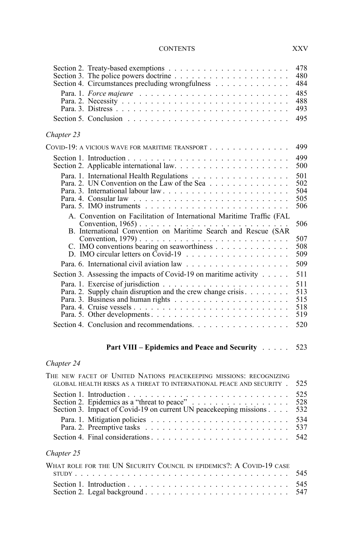### CONTENTS XXV

| Section 4. Circumstances precluding wrongfulness                                                                                           | 478<br>480<br>484               |
|--------------------------------------------------------------------------------------------------------------------------------------------|---------------------------------|
|                                                                                                                                            | 485<br>488<br>493               |
| Section 5. Conclusion $\ldots \ldots \ldots \ldots \ldots \ldots \ldots \ldots \ldots \ldots$                                              | 495                             |
| Chapter 23                                                                                                                                 |                                 |
| COVID-19: A VICIOUS WAVE FOR MARITIME TRANSPORT                                                                                            | 499                             |
|                                                                                                                                            | 499<br>500                      |
| Para. 2. UN Convention on the Law of the Sea                                                                                               | 501<br>502<br>504<br>505<br>506 |
| A. Convention on Facilitation of International Maritime Traffic (FAL<br>B. International Convention on Maritime Search and Rescue (SAR     | 506                             |
| C. IMO conventions bearing on seaworthiness<br>D. IMO circular letters on Covid-19 $\ldots$ , , , ,                                        | 507<br>508<br>509               |
|                                                                                                                                            | 509                             |
| Section 3. Assessing the impacts of Covid-19 on maritime activity                                                                          | 511                             |
| Para. 2. Supply chain disruption and the crew change crisis.<br>Para. 5. Other developments                                                | 511<br>513<br>515<br>518<br>519 |
| Section 4. Conclusion and recommendations. $\ldots$ , $\ldots$ , $\ldots$ , $\ldots$ , $\ldots$                                            | 520                             |
|                                                                                                                                            | 523                             |
|                                                                                                                                            |                                 |
| Chapter 24                                                                                                                                 |                                 |
| THE NEW FACET OF UNITED NATIONS PEACEKEEPING MISSIONS: RECOGNIZING<br>GLOBAL HEALTH RISKS AS A THREAT TO INTERNATIONAL PEACE AND SECURITY. | 525                             |
| Section 3. Impact of Covid-19 on current UN peacekeeping missions                                                                          | 525<br>528<br>532               |
|                                                                                                                                            | 534<br>537                      |
| Section 4. Final considerations                                                                                                            | 542                             |
| Chapter 25                                                                                                                                 |                                 |
| WHAT ROLE FOR THE IIN SECURITY COUNCIL IN EPIDEMICS? A COVID-19 CASE                                                                       |                                 |

| WHAT ROLE FOR THE UIN SECURITY COUNCIL IN EPIDEMICS?. A COVID-19 CASE |  |
|-----------------------------------------------------------------------|--|
|                                                                       |  |
|                                                                       |  |
|                                                                       |  |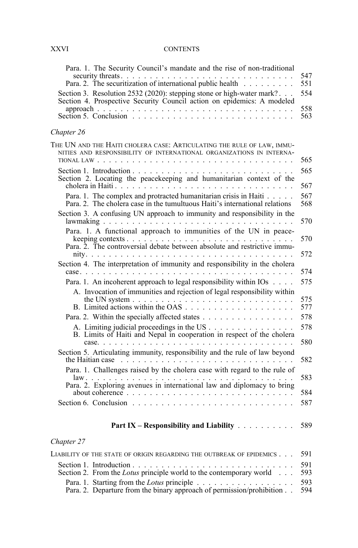# XXVI CONTENTS

| Para. 1. The Security Council's mandate and the rise of non-traditional<br>Para. 2. The securitization of international public health<br>Section 3. Resolution 2532 (2020): stepping stone or high-water mark?<br>Section 4. Prospective Security Council action on epidemics: A modeled<br>Section 5. Conclusion $\ldots \ldots \ldots \ldots \ldots \ldots \ldots \ldots \ldots \ldots$ | 547<br>551<br>554<br>558<br>563 |
|-------------------------------------------------------------------------------------------------------------------------------------------------------------------------------------------------------------------------------------------------------------------------------------------------------------------------------------------------------------------------------------------|---------------------------------|
| Chapter 26                                                                                                                                                                                                                                                                                                                                                                                |                                 |
| THE UN AND THE HAITI CHOLERA CASE: ARTICULATING THE RULE OF LAW, IMMU-<br>NITIES AND RESPONSIBILITY OF INTERNATIONAL ORGANIZATIONS IN INTERNA-                                                                                                                                                                                                                                            | 565<br>565                      |
|                                                                                                                                                                                                                                                                                                                                                                                           | 567                             |
| Para. 1. The complex and protracted humanitarian crisis in Haiti<br>Para, 2. The cholera case in the tumultuous Haiti's international relations                                                                                                                                                                                                                                           | 567<br>568                      |
| Section 3. A confusing UN approach to immunity and responsibility in the                                                                                                                                                                                                                                                                                                                  | 570                             |
| Para. 1. A functional approach to immunities of the UN in peace-                                                                                                                                                                                                                                                                                                                          | 570                             |
|                                                                                                                                                                                                                                                                                                                                                                                           | 572                             |
| Section 4. The interpretation of immunity and responsibility in the cholera                                                                                                                                                                                                                                                                                                               | 574                             |
| Para. 1. An incoherent approach to legal responsibility within IOs<br>A. Invocation of immunities and rejection of legal responsibility within                                                                                                                                                                                                                                            | 575                             |
| the UN system $\ldots \ldots \ldots \ldots \ldots \ldots \ldots \ldots \ldots \ldots$                                                                                                                                                                                                                                                                                                     | 575<br>577                      |
| Para. 2. Within the specially affected states                                                                                                                                                                                                                                                                                                                                             | 578                             |
| A. Limiting judicial proceedings in the US<br>B. Limits of Haiti and Nepal in cooperation in respect of the cholera                                                                                                                                                                                                                                                                       | 578<br>580                      |
| Section 5. Articulating immunity, responsibility and the rule of law beyond<br>the Haitian case $\ldots \ldots \ldots \ldots \ldots \ldots \ldots \ldots \ldots \ldots$                                                                                                                                                                                                                   | 582                             |
| Para. 1. Challenges raised by the cholera case with regard to the rule of                                                                                                                                                                                                                                                                                                                 | 583                             |
|                                                                                                                                                                                                                                                                                                                                                                                           | 584                             |
| Section 6. Conclusion $\ldots \ldots \ldots \ldots \ldots \ldots \ldots \ldots \ldots \ldots$                                                                                                                                                                                                                                                                                             | 587                             |
| Part IX – Responsibility and Liability $\ldots$                                                                                                                                                                                                                                                                                                                                           | 589                             |
| Chapter 27                                                                                                                                                                                                                                                                                                                                                                                |                                 |
| LIABILITY OF THE STATE OF ORIGIN REGARDING THE OUTBREAK OF EPIDEMICS                                                                                                                                                                                                                                                                                                                      | 591                             |
| Section 2. From the Lotus principle world to the contemporary world                                                                                                                                                                                                                                                                                                                       | 591<br>593                      |
| Para. 1. Starting from the Lotus principle<br>Para. 2. Departure from the binary approach of permission/prohibition                                                                                                                                                                                                                                                                       | 593<br>594                      |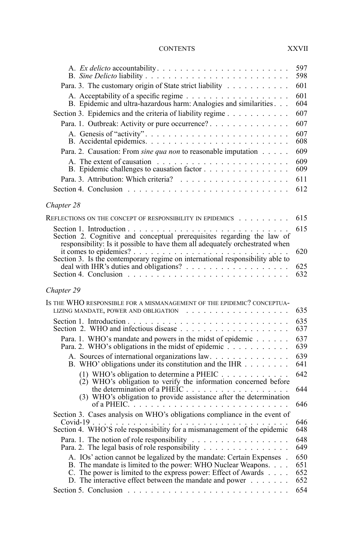### CONTENTS XXVII

|                                                                                                                                                                                                                                                                    | 597<br>598               |
|--------------------------------------------------------------------------------------------------------------------------------------------------------------------------------------------------------------------------------------------------------------------|--------------------------|
| Para. 3. The customary origin of State strict liability                                                                                                                                                                                                            | 601                      |
|                                                                                                                                                                                                                                                                    | 601<br>604               |
| Section 3. Epidemics and the criteria of liability regime                                                                                                                                                                                                          | 607                      |
| Para. 1. Outbreak: Activity or pure occurrence?                                                                                                                                                                                                                    | 607                      |
|                                                                                                                                                                                                                                                                    | 607<br>608               |
| Para. 2. Causation: From sine qua non to reasonable imputation                                                                                                                                                                                                     | 609                      |
|                                                                                                                                                                                                                                                                    | 609<br>609               |
|                                                                                                                                                                                                                                                                    | 611                      |
|                                                                                                                                                                                                                                                                    | 612                      |
| Chapter 28                                                                                                                                                                                                                                                         |                          |
| REFLECTIONS ON THE CONCEPT OF RESPONSIBILITY IN EPIDEMICS                                                                                                                                                                                                          | 615                      |
| Section 2. Cognitive and conceptual prerequisites regarding the law of<br>responsibility: Is it possible to have them all adequately orchestrated when                                                                                                             | 615                      |
| it comes to epidemics?<br>Section 3. Is the contemporary regime on international responsibility able to                                                                                                                                                            | 620                      |
|                                                                                                                                                                                                                                                                    | 625                      |
|                                                                                                                                                                                                                                                                    | 632                      |
| Chapter 29                                                                                                                                                                                                                                                         |                          |
| IS THE WHO RESPONSIBLE FOR A MISMANAGEMENT OF THE EPIDEMIC? CONCEPTUA-                                                                                                                                                                                             |                          |
|                                                                                                                                                                                                                                                                    | 635                      |
|                                                                                                                                                                                                                                                                    | 635<br>637               |
| Para. 1. WHO's mandate and powers in the midst of epidemic<br>Para. 2. WHO's obligations in the midst of epidemic                                                                                                                                                  | 637<br>639               |
| A. Sources of international organizations law.<br>B. WHO' obligations under its constitution and the IHR                                                                                                                                                           | 639<br>641               |
| (1) WHO's obligation to determine a PHEIC<br>(2) WHO's obligation to verify the information concerned before                                                                                                                                                       | 642                      |
| the determination of a PHEIC $\ldots$ and $\ldots$ is a set of the determination (3) WHO's obligation to provide assistance after the determination                                                                                                                | 644                      |
|                                                                                                                                                                                                                                                                    | 646                      |
| Section 3. Cases analysis on WHO's obligations compliance in the event of                                                                                                                                                                                          | 646                      |
| Covid-19<br>Section 4. WHO'S role responsibility for a mismanagement of the epidemic                                                                                                                                                                               | 648                      |
| Para. 2. The legal basis of role responsibility                                                                                                                                                                                                                    | 648<br>649               |
| A. IOs' action cannot be legalized by the mandate: Certain Expenses .<br>B. The mandate is limited to the power: WHO Nuclear Weapons.<br>C. The power is limited to the express power: Effect of Awards<br>D. The interactive effect between the mandate and power | 650<br>651<br>652<br>652 |